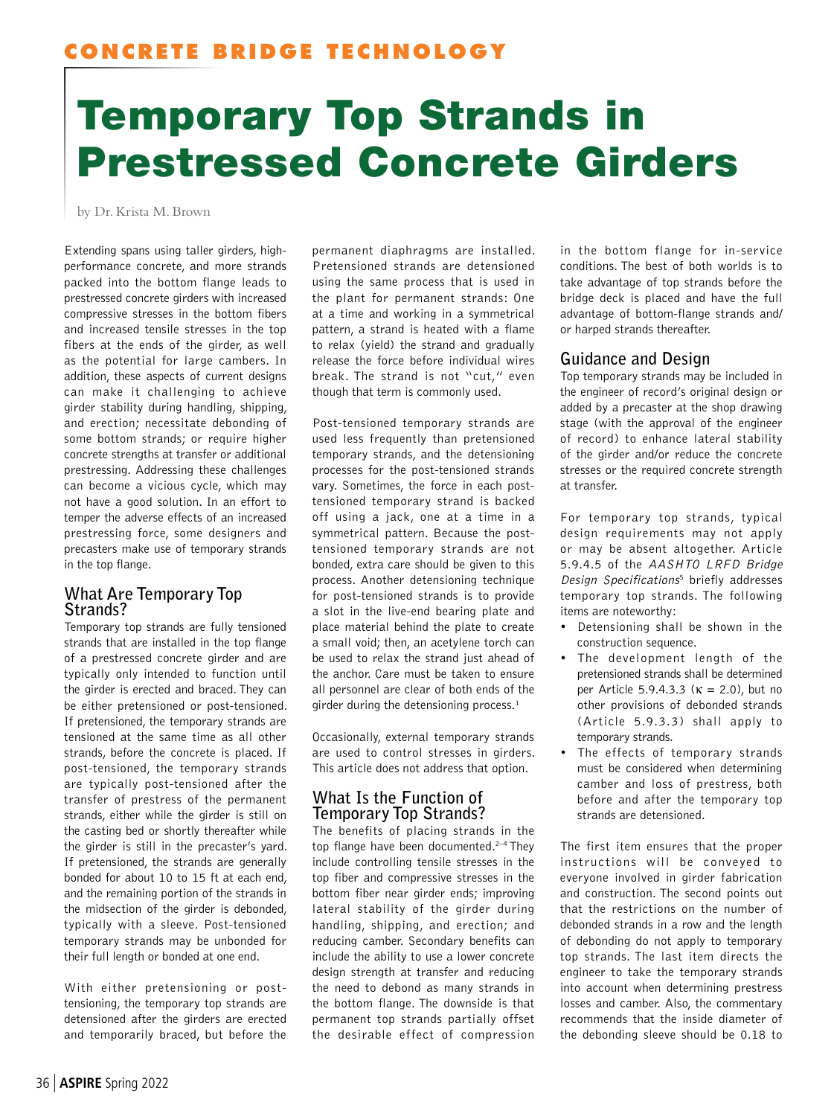# Temporary Top Strands in Prestressed Concrete Girders

by Dr. Krista M. Brown

Extending spans using taller girders, highperformance concrete, and more strands packed into the bottom flange leads to prestressed concrete girders with increased compressive stresses in the bottom fibers and increased tensile stresses in the top fibers at the ends of the girder, as well as the potential for large cambers. In addition, these aspects of current designs can make it challenging to achieve girder stability during handling, shipping, and erection; necessitate debonding of some bottom strands; or require higher concrete strengths at transfer or additional prestressing. Addressing these challenges can become a vicious cycle, which may not have a good solution. In an effort to temper the adverse effects of an increased prestressing force, some designers and precasters make use of temporary strands in the top flange.

## **What Are Temporary Top Strands?**

Temporary top strands are fully tensioned strands that are installed in the top flange of a prestressed concrete girder and are typically only intended to function until the girder is erected and braced. They can be either pretensioned or post-tensioned. If pretensioned, the temporary strands are tensioned at the same time as all other strands, before the concrete is placed. If post-tensioned, the temporary strands are typically post-tensioned after the transfer of prestress of the permanent strands, either while the girder is still on the casting bed or shortly thereafter while the girder is still in the precaster's yard. If pretensioned, the strands are generally bonded for about 10 to 15 ft at each end, and the remaining portion of the strands in the midsection of the girder is debonded, typically with a sleeve. Post-tensioned temporary strands may be unbonded for their full length or bonded at one end.

With either pretensioning or posttensioning, the temporary top strands are detensioned after the girders are erected and temporarily braced, but before the

permanent diaphragms are installed. Pretensioned strands are detensioned using the same process that is used in the plant for permanent strands: One at a time and working in a symmetrical pattern, a strand is heated with a flame to relax (yield) the strand and gradually release the force before individual wires break. The strand is not "cut," even though that term is commonly used.

Post-tensioned temporary strands are used less frequently than pretensioned temporary strands, and the detensioning processes for the post-tensioned strands vary. Sometimes, the force in each posttensioned temporary strand is backed off using a jack, one at a time in a symmetrical pattern. Because the posttensioned temporary strands are not bonded, extra care should be given to this process. Another detensioning technique for post-tensioned strands is to provide a slot in the live-end bearing plate and place material behind the plate to create a small void; then, an acetylene torch can be used to relax the strand just ahead of the anchor. Care must be taken to ensure all personnel are clear of both ends of the girder during the detensioning process. $<sup>1</sup>$ </sup>

Occasionally, external temporary strands are used to control stresses in girders. This article does not address that option.

## **What Is the Function of Temporary Top Strands?**

The benefits of placing strands in the top flange have been documented.<sup>2-4</sup> They include controlling tensile stresses in the top fiber and compressive stresses in the bottom fiber near girder ends; improving lateral stability of the girder during handling, shipping, and erection; and reducing camber. Secondary benefits can include the ability to use a lower concrete design strength at transfer and reducing the need to debond as many strands in the bottom flange. The downside is that permanent top strands partially offset the desirable effect of compression

in the bottom flange for in-service conditions. The best of both worlds is to take advantage of top strands before the bridge deck is placed and have the full advantage of bottom-flange strands and/ or harped strands thereafter.

## **Guidance and Design**

Top temporary strands may be included in the engineer of record's original design or added by a precaster at the shop drawing stage (with the approval of the engineer of record) to enhance lateral stability of the girder and/or reduce the concrete stresses or the required concrete strength at transfer.

For temporary top strands, typical design requirements may not apply or may be absent altogether. Article 5.9.4.5 of the AASHTO LRFD Bridge Design Specifications<sup>5</sup> briefly addresses temporary top strands. The following items are noteworthy:

- Detensioning shall be shown in the construction sequence.
- The development length of the pretensioned strands shall be determined per Article 5.9.4.3.3 ( $κ = 2.0$ ), but no other provisions of debonded strands (Article 5.9.3.3) shall apply to temporary strands.
- The effects of temporary strands must be considered when determining camber and loss of prestress, both before and after the temporary top strands are detensioned.

The first item ensures that the proper instructions will be conveyed to everyone involved in girder fabrication and construction. The second points out that the restrictions on the number of debonded strands in a row and the length of debonding do not apply to temporary top strands. The last item directs the engineer to take the temporary strands into account when determining prestress losses and camber. Also, the commentary recommends that the inside diameter of the debonding sleeve should be 0.18 to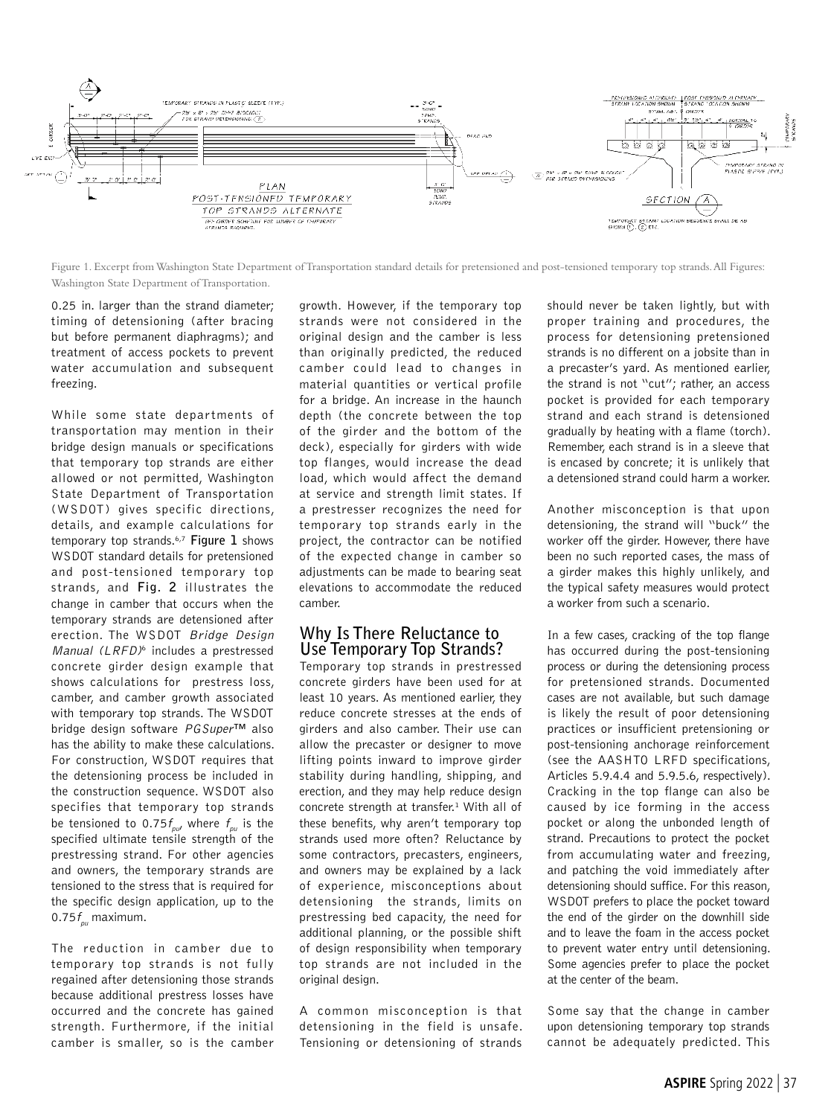

Figure 1. Excerpt from Washington State Department of Transportation standard details for pretensioned and post-tensioned temporary top strands. All Figures: Washington State Department of Transportation.

0.25 in. larger than the strand diameter; timing of detensioning (after bracing but before permanent diaphragms); and treatment of access pockets to prevent water accumulation and subsequent freezing.

While some state departments of transportation may mention in their bridge design manuals or specifications that temporary top strands are either allowed or not permitted, Washington State Department of Transportation (WSDOT) gives specific directions, details, and example calculations for temporary top strands.6,7 **Figure 1** shows WSDOT standard details for pretensioned and post-tensioned temporary top strands, and **Fig. 2** illustrates the change in camber that occurs when the temporary strands are detensioned after erection. The WSDOT Bridge Design Manual (LRFD)<sup>6</sup> includes a prestressed concrete girder design example that shows calculations for prestress loss, camber, and camber growth associated with temporary top strands. The WSDOT bridge design software PGSuper™ also has the ability to make these calculations. For construction, WSDOT requires that the detensioning process be included in the construction sequence. WSDOT also specifies that temporary top strands be tensioned to 0.75 $f_{\alpha\beta}$  where  $f_{\alpha\beta}$  is the specified ultimate tensile strength of the prestressing strand. For other agencies and owners, the temporary strands are tensioned to the stress that is required for the specific design application, up to the 0.75 $f_{\rho u}$  maximum.

The reduction in camber due to temporary top strands is not fully regained after detensioning those strands because additional prestress losses have occurred and the concrete has gained strength. Furthermore, if the initial camber is smaller, so is the camber growth. However, if the temporary top strands were not considered in the original design and the camber is less than originally predicted, the reduced camber could lead to changes in material quantities or vertical profile for a bridge. An increase in the haunch depth (the concrete between the top of the girder and the bottom of the deck), especially for girders with wide top flanges, would increase the dead load, which would affect the demand at service and strength limit states. If a prestresser recognizes the need for temporary top strands early in the project, the contractor can be notified of the expected change in camber so adjustments can be made to bearing seat elevations to accommodate the reduced camber.

### **Why Is There Reluctance to Use Temporary Top Strands?**

Temporary top strands in prestressed concrete girders have been used for at least 10 years. As mentioned earlier, they reduce concrete stresses at the ends of girders and also camber. Their use can allow the precaster or designer to move lifting points inward to improve girder stability during handling, shipping, and erection, and they may help reduce design concrete strength at transfer.<sup>1</sup> With all of these benefits, why aren't temporary top strands used more often? Reluctance by some contractors, precasters, engineers, and owners may be explained by a lack of experience, misconceptions about detensioning the strands, limits on prestressing bed capacity, the need for additional planning, or the possible shift of design responsibility when temporary top strands are not included in the original design.

A common misconception is that detensioning in the field is unsafe. Tensioning or detensioning of strands

should never be taken lightly, but with proper training and procedures, the process for detensioning pretensioned strands is no different on a jobsite than in a precaster's yard. As mentioned earlier, the strand is not "cut"; rather, an access pocket is provided for each temporary strand and each strand is detensioned gradually by heating with a flame (torch). Remember, each strand is in a sleeve that is encased by concrete; it is unlikely that a detensioned strand could harm a worker.

Another misconception is that upon detensioning, the strand will "buck" the worker off the girder. However, there have been no such reported cases, the mass of a girder makes this highly unlikely, and the typical safety measures would protect a worker from such a scenario.

In a few cases, cracking of the top flange has occurred during the post-tensioning process or during the detensioning process for pretensioned strands. Documented cases are not available, but such damage is likely the result of poor detensioning practices or insufficient pretensioning or post-tensioning anchorage reinforcement (see the AASHTO LRFD specifications, Articles 5.9.4.4 and 5.9.5.6, respectively). Cracking in the top flange can also be caused by ice forming in the access pocket or along the unbonded length of strand. Precautions to protect the pocket from accumulating water and freezing, and patching the void immediately after detensioning should suffice. For this reason, WSDOT prefers to place the pocket toward the end of the girder on the downhill side and to leave the foam in the access pocket to prevent water entry until detensioning. Some agencies prefer to place the pocket at the center of the beam.

Some say that the change in camber upon detensioning temporary top strands cannot be adequately predicted. This